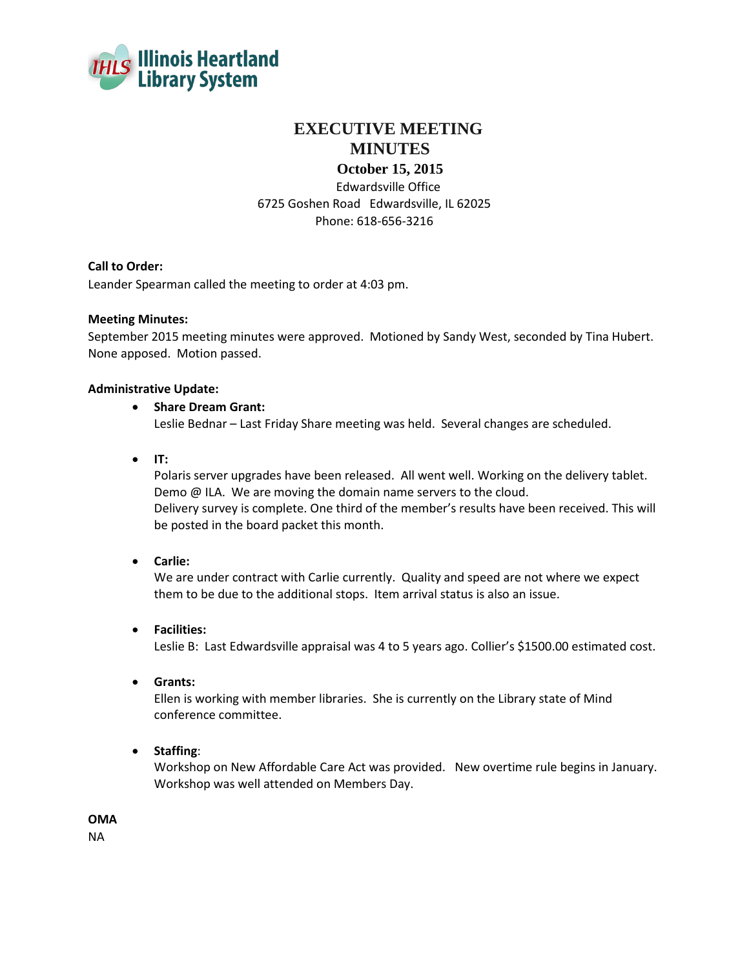

# **EXECUTIVE MEETING MINUTES**

## **October 15, 2015**

Edwardsville Office 6725 Goshen Road Edwardsville, IL 62025 Phone: 618-656-3216

## **Call to Order:**

Leander Spearman called the meeting to order at 4:03 pm.

#### **Meeting Minutes:**

September 2015 meeting minutes were approved. Motioned by Sandy West, seconded by Tina Hubert. None apposed. Motion passed.

#### **Administrative Update:**

#### **Share Dream Grant:**

Leslie Bednar – Last Friday Share meeting was held. Several changes are scheduled.

**IT:**

Polaris server upgrades have been released. All went well. Working on the delivery tablet. Demo @ ILA. We are moving the domain name servers to the cloud. Delivery survey is complete. One third of the member's results have been received. This will be posted in the board packet this month.

#### **Carlie:**

We are under contract with Carlie currently. Quality and speed are not where we expect them to be due to the additional stops. Item arrival status is also an issue.

**Facilities:**

Leslie B: Last Edwardsville appraisal was 4 to 5 years ago. Collier's \$1500.00 estimated cost.

**Grants:**

Ellen is working with member libraries. She is currently on the Library state of Mind conference committee.

**Staffing**:

Workshop on New Affordable Care Act was provided. New overtime rule begins in January. Workshop was well attended on Members Day.

**OMA**

NA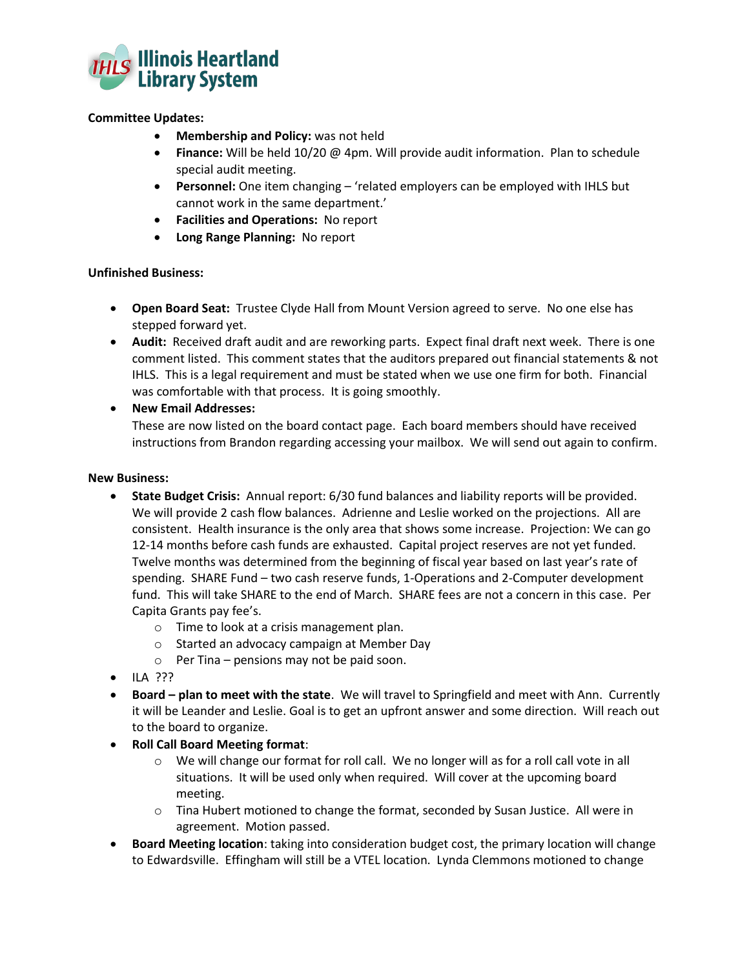

### **Committee Updates:**

- **Membership and Policy:** was not held
- **Finance:** Will be held 10/20 @ 4pm. Will provide audit information. Plan to schedule special audit meeting.
- **Personnel:** One item changing 'related employers can be employed with IHLS but cannot work in the same department.'
- **Facilities and Operations:** No report
- **Long Range Planning:** No report

#### **Unfinished Business:**

- **Open Board Seat:** Trustee Clyde Hall from Mount Version agreed to serve. No one else has stepped forward yet.
- **Audit:** Received draft audit and are reworking parts. Expect final draft next week. There is one comment listed. This comment states that the auditors prepared out financial statements & not IHLS. This is a legal requirement and must be stated when we use one firm for both. Financial was comfortable with that process. It is going smoothly.

## **New Email Addresses:**

These are now listed on the board contact page. Each board members should have received instructions from Brandon regarding accessing your mailbox. We will send out again to confirm.

#### **New Business:**

- **State Budget Crisis:** Annual report: 6/30 fund balances and liability reports will be provided. We will provide 2 cash flow balances. Adrienne and Leslie worked on the projections. All are consistent. Health insurance is the only area that shows some increase. Projection: We can go 12-14 months before cash funds are exhausted. Capital project reserves are not yet funded. Twelve months was determined from the beginning of fiscal year based on last year's rate of spending. SHARE Fund – two cash reserve funds, 1-Operations and 2-Computer development fund. This will take SHARE to the end of March. SHARE fees are not a concern in this case. Per Capita Grants pay fee's.
	- o Time to look at a crisis management plan.
	- o Started an advocacy campaign at Member Day
	- $\circ$  Per Tina pensions may not be paid soon.
- $\bullet$  ILA ???
- **Board – plan to meet with the state**. We will travel to Springfield and meet with Ann. Currently it will be Leander and Leslie. Goal is to get an upfront answer and some direction. Will reach out to the board to organize.
- **Roll Call Board Meeting format**:
	- $\circ$  We will change our format for roll call. We no longer will as for a roll call vote in all situations. It will be used only when required. Will cover at the upcoming board meeting.
	- o Tina Hubert motioned to change the format, seconded by Susan Justice. All were in agreement. Motion passed.
- **Board Meeting location**: taking into consideration budget cost, the primary location will change to Edwardsville. Effingham will still be a VTEL location. Lynda Clemmons motioned to change